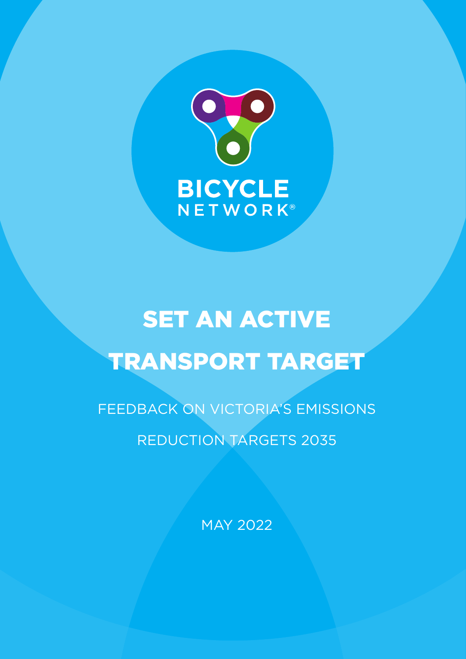

# **SET AN ACTIVE** TRANSPORT TARGET

FEEDBACK ON VICTORIA'S EMISSIONS REDUCTION TARGETS 2035

MAY 2022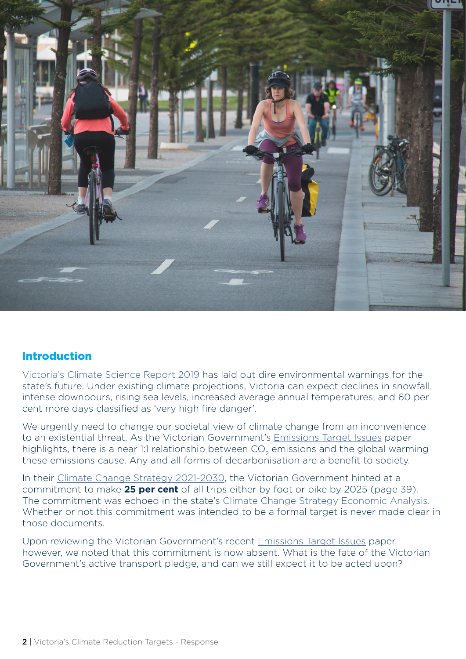

### Introduction

Victoria's Climate Science Report 2019 has laid out dire environmental warnings for the state's future. Under existing climate projections, Victoria can expect declines in snowfall, intense downpours, rising sea levels, increased average annual temperatures, and 60 per cent more days classified as 'very high fire danger'.

We urgently need to change our societal view of climate change from an inconvenience to an existential threat. As the Victorian Government's Emissions Target Issues paper highlights, there is a near 1:1 relationship between CO<sub>2</sub> emissions and the global warming these emissions cause. Any and all forms of decarbonisation are a benefit to society.

In their Climate Change Strategy 2021-2030, the Victorian Government hinted at a commitment to make **25 per cent** of all trips either by foot or bike by 2025 (page 39). The commitment was echoed in the state's Climate Change Strategy Economic Analysis. Whether or not this commitment was intended to be a formal target is never made clear in those documents.

Upon reviewing the Victorian Government's recent Emissions Target Issues paper, however, we noted that this commitment is now absent. What is the fate of the Victorian Government's active transport pledge, and can we still expect it to be acted upon?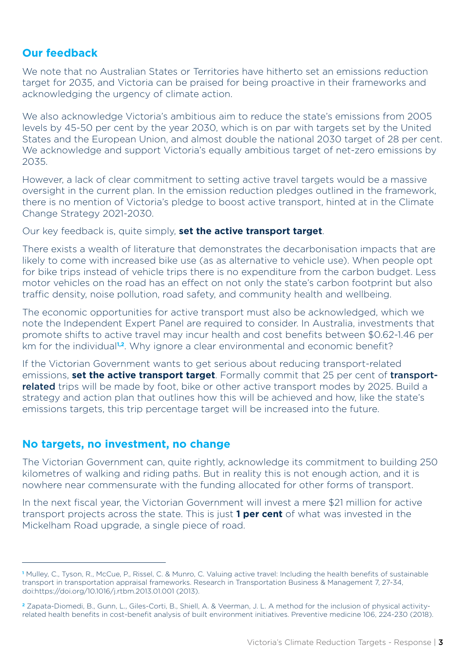## **Our feedback**

We note that no Australian States or Territories have hitherto set an emissions reduction target for 2035, and Victoria can be praised for being proactive in their frameworks and acknowledging the urgency of climate action.

We also acknowledge Victoria's ambitious aim to reduce the state's emissions from 2005 levels by 45-50 per cent by the year 2030, which is on par with targets set by the United States and the European Union, and almost double the national 2030 target of 28 per cent. We acknowledge and support Victoria's equally ambitious target of net-zero emissions by 2035.

However, a lack of clear commitment to setting active travel targets would be a massive oversight in the current plan. In the emission reduction pledges outlined in the framework, there is no mention of Victoria's pledge to boost active transport, hinted at in the Climate Change Strategy 2021-2030.

Our key feedback is, quite simply, **set the active transport target**.

There exists a wealth of literature that demonstrates the decarbonisation impacts that are likely to come with increased bike use (as as alternative to vehicle use). When people opt for bike trips instead of vehicle trips there is no expenditure from the carbon budget. Less motor vehicles on the road has an effect on not only the state's carbon footprint but also traffic density, noise pollution, road safety, and community health and wellbeing.

The economic opportunities for active transport must also be acknowledged, which we note the Independent Expert Panel are required to consider. In Australia, investments that promote shifts to active travel may incur health and cost benefits between \$0.62-1.46 per km for the individual<sup>1,2</sup>. Why ignore a clear environmental and economic benefit?

If the Victorian Government wants to get serious about reducing transport-related emissions, **set the active transport target**. Formally commit that 25 per cent of transportrelated trips will be made by foot, bike or other active transport modes by 2025. Build a strategy and action plan that outlines how this will be achieved and how, like the state's emissions targets, this trip percentage target will be increased into the future.

### **No targets, no investment, no change**

The Victorian Government can, quite rightly, acknowledge its commitment to building 250 kilometres of walking and riding paths. But in reality this is not enough action, and it is nowhere near commensurate with the funding allocated for other forms of transport.

In the next fiscal year, the Victorian Government will invest a mere \$21 million for active transport projects across the state. This is just **1 per cent** of what was invested in the Mickelham Road upgrade, a single piece of road.

**<sup>1</sup>** Mulley, C., Tyson, R., McCue, P., Rissel, C. & Munro, C. Valuing active travel: Including the health benefits of sustainable transport in transportation appraisal frameworks. Research in Transportation Business & Management 7, 27-34, doi:https://doi.org/10.1016/j.rtbm.2013.01.001 (2013).

**<sup>2</sup>** Zapata-Diomedi, B., Gunn, L., Giles-Corti, B., Shiell, A. & Veerman, J. L. A method for the inclusion of physical activityrelated health benefits in cost-benefit analysis of built environment initiatives. Preventive medicine 106, 224-230 (2018).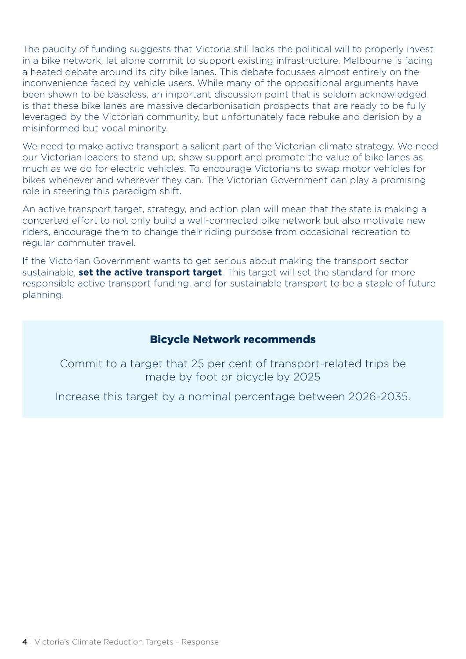The paucity of funding suggests that Victoria still lacks the political will to properly invest in a bike network, let alone commit to support existing infrastructure. Melbourne is facing a heated debate around its city bike lanes. This debate focusses almost entirely on the inconvenience faced by vehicle users. While many of the oppositional arguments have been shown to be baseless, an important discussion point that is seldom acknowledged is that these bike lanes are massive decarbonisation prospects that are ready to be fully leveraged by the Victorian community, but unfortunately face rebuke and derision by a misinformed but vocal minority.

We need to make active transport a salient part of the Victorian climate strategy. We need our Victorian leaders to stand up, show support and promote the value of bike lanes as much as we do for electric vehicles. To encourage Victorians to swap motor vehicles for bikes whenever and wherever they can. The Victorian Government can play a promising role in steering this paradigm shift.

An active transport target, strategy, and action plan will mean that the state is making a concerted effort to not only build a well-connected bike network but also motivate new riders, encourage them to change their riding purpose from occasional recreation to regular commuter travel.

If the Victorian Government wants to get serious about making the transport sector sustainable, **set the active transport target**. This target will set the standard for more responsible active transport funding, and for sustainable transport to be a staple of future planning.

#### Bicycle Network recommends

Commit to a target that 25 per cent of transport-related trips be made by foot or bicycle by 2025

Increase this target by a nominal percentage between 2026-2035.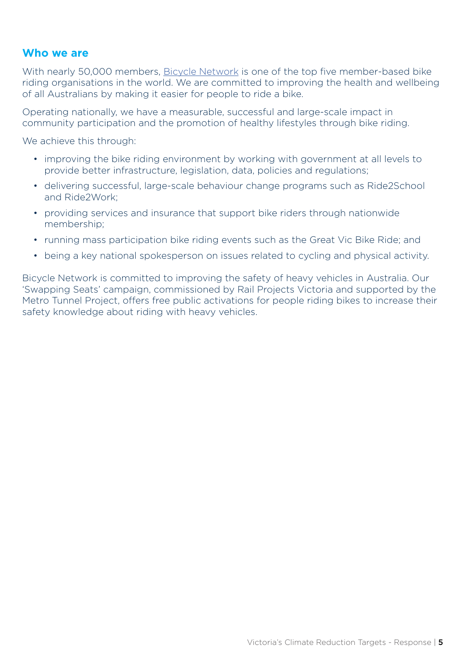#### **Who we are**

With nearly 50,000 members, Bicycle Network is one of the top five member-based bike riding organisations in the world. We are committed to improving the health and wellbeing of all Australians by making it easier for people to ride a bike.

Operating nationally, we have a measurable, successful and large-scale impact in community participation and the promotion of healthy lifestyles through bike riding.

We achieve this through:

- improving the bike riding environment by working with government at all levels to provide better infrastructure, legislation, data, policies and regulations;
- delivering successful, large-scale behaviour change programs such as Ride2School and Ride2Work;
- providing services and insurance that support bike riders through nationwide membership;
- running mass participation bike riding events such as the Great Vic Bike Ride; and
- being a key national spokesperson on issues related to cycling and physical activity.

Bicycle Network is committed to improving the safety of heavy vehicles in Australia. Our 'Swapping Seats' campaign, commissioned by Rail Projects Victoria and supported by the Metro Tunnel Project, offers free public activations for people riding bikes to increase their safety knowledge about riding with heavy vehicles.